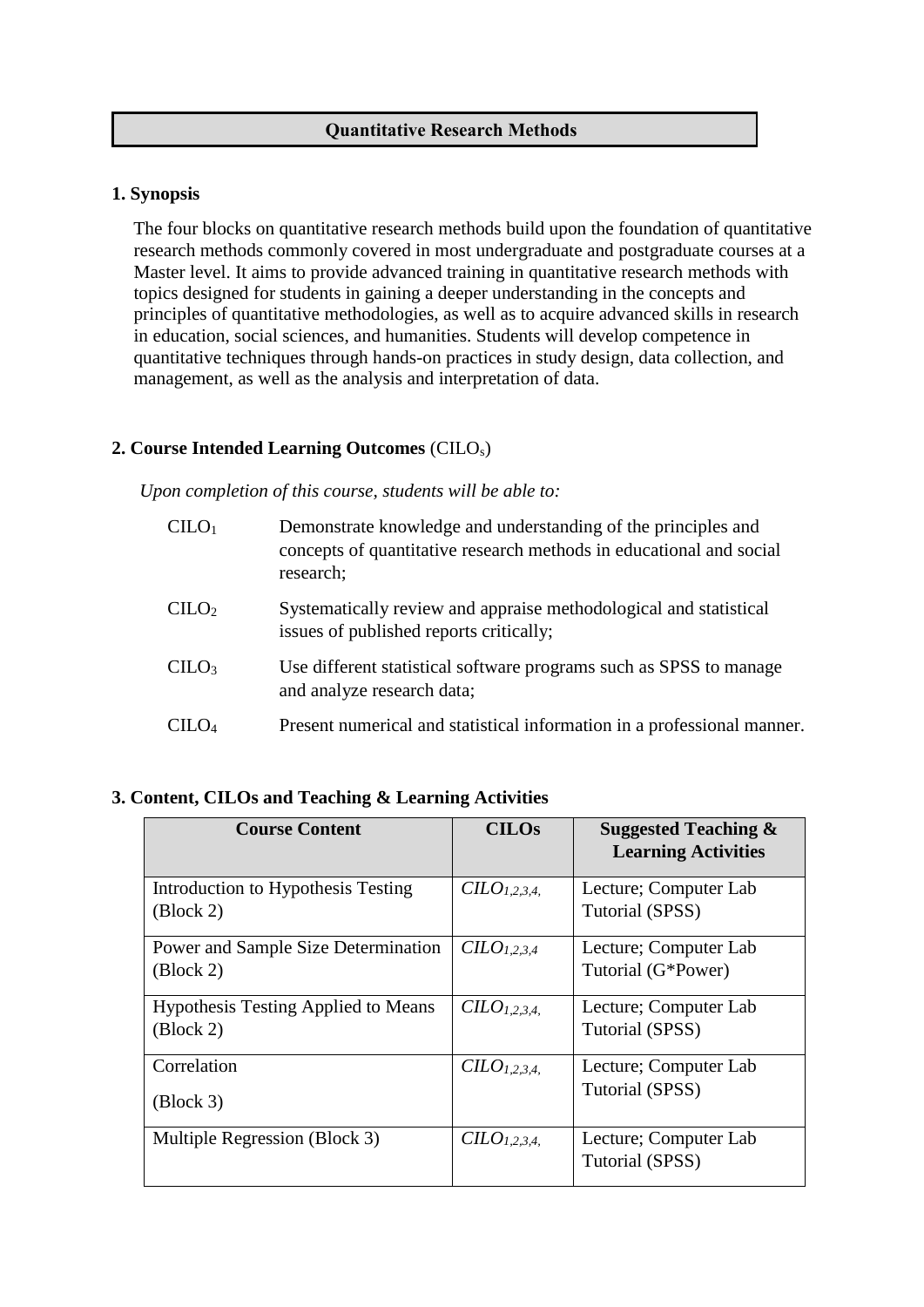### **Quantitative Research Methods**

#### **1. Synopsis**

The four blocks on quantitative research methods build upon the foundation of quantitative research methods commonly covered in most undergraduate and postgraduate courses at a Master level. It aims to provide advanced training in quantitative research methods with topics designed for students in gaining a deeper understanding in the concepts and principles of quantitative methodologies, as well as to acquire advanced skills in research in education, social sciences, and humanities. Students will develop competence in quantitative techniques through hands-on practices in study design, data collection, and management, as well as the analysis and interpretation of data.

# **2. Course Intended Learning Outcomes** (CILOs)

*Upon completion of this course, students will be able to:*

| CLLO <sub>1</sub> | Demonstrate knowledge and understanding of the principles and<br>concepts of quantitative research methods in educational and social<br>research; |
|-------------------|---------------------------------------------------------------------------------------------------------------------------------------------------|
| CLLO <sub>2</sub> | Systematically review and appraise methodological and statistical<br>issues of published reports critically;                                      |
| CLLO <sub>3</sub> | Use different statistical software programs such as SPSS to manage<br>and analyze research data;                                                  |
|                   | Present numerical and statistical information in a professional manner.                                                                           |

## **3. Content, CILOs and Teaching & Learning Activities**

| <b>Course Content</b>                                                          | <b>CILOs</b>                         | <b>Suggested Teaching &amp;</b><br><b>Learning Activities</b> |
|--------------------------------------------------------------------------------|--------------------------------------|---------------------------------------------------------------|
| Introduction to Hypothesis Testing<br>$\left(\frac{\text{Block } 2\right)$     | $CLO_{1,2,3,4}$                      | Lecture; Computer Lab<br>Tutorial (SPSS)                      |
| Power and Sample Size Determination<br>$\left(\frac{\text{Block } 2\right)$    | $CLO_{1,2,3,4}$                      | Lecture; Computer Lab<br>Tutorial (G*Power)                   |
| <b>Hypothesis Testing Applied to Means</b><br>$\left( \text{Block } 2 \right)$ | C <i>LO</i> <sub>1.2.3.4.</sub>      | Lecture; Computer Lab<br>Tutorial (SPSS)                      |
| Correlation<br>$\left(\frac{\text{Block } 3\right)$                            | C <i>LO</i> <sub>1.2.3.4.</sub>      | Lecture; Computer Lab<br>Tutorial (SPSS)                      |
| Multiple Regression (Block 3)                                                  | C <sub>L</sub> O <sub>L</sub> 2.3.4. | Lecture; Computer Lab<br>Tutorial (SPSS)                      |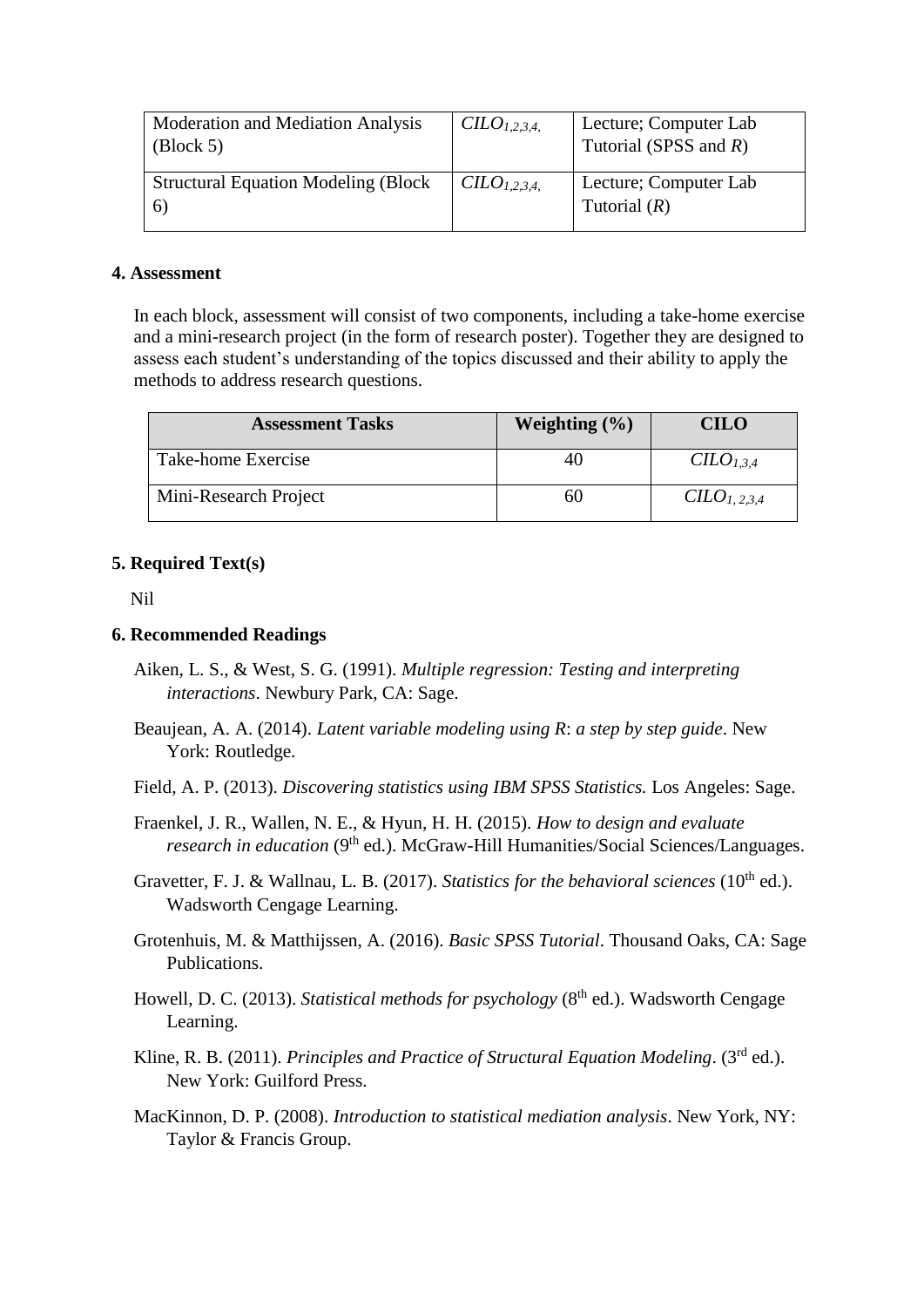| Moderation and Mediation Analysis<br>$\left( \text{Block } 5 \right)$ | $CILO1.2.3.4$ .        | Lecture; Computer Lab<br>Tutorial (SPSS and $R$ ) |
|-----------------------------------------------------------------------|------------------------|---------------------------------------------------|
| <b>Structural Equation Modeling (Block)</b><br>$\lceil 6 \rceil$      | CLO <sub>1,2,3,4</sub> | Lecture; Computer Lab<br>Tutorial $(R)$           |

#### **4. Assessment**

In each block, assessment will consist of two components, including a take-home exercise and a mini-research project (in the form of research poster). Together they are designed to assess each student's understanding of the topics discussed and their ability to apply the methods to address research questions.

| <b>Assessment Tasks</b> | Weighting $(\% )$ | <b>CILO</b>        |
|-------------------------|-------------------|--------------------|
| Take-home Exercise      | 40                | C <sub>1.3.4</sub> |
| Mini-Research Project   | hU                | $CLO_{1,2,3,4}$    |

#### **5. Required Text(s)**

Nil

#### **6. Recommended Readings**

- Aiken, L. S., & West, S. G. (1991). *Multiple regression: Testing and interpreting interactions*. Newbury Park, CA: Sage.
- Beaujean, A. A. (2014). *Latent variable modeling using R*: *a step by step guide*. New York: Routledge.
- Field, A. P. (2013). *Discovering statistics using IBM SPSS Statistics.* Los Angeles: Sage.
- Fraenkel, J. R., Wallen, N. E., & Hyun, H. H. (2015). *How to design and evaluate research in education* (9<sup>th</sup> ed.). McGraw-Hill Humanities/Social Sciences/Languages.

Gravetter, F. J. & Wallnau, L. B. (2017). *Statistics for the behavioral sciences* (10<sup>th</sup> ed.). Wadsworth Cengage Learning.

- Grotenhuis, M. & Matthijssen, A. (2016). *Basic SPSS Tutorial*. Thousand Oaks, CA: Sage Publications.
- Howell, D. C. (2013). *Statistical methods for psychology* (8<sup>th</sup> ed.). Wadsworth Cengage Learning.
- Kline, R. B. (2011). *Principles and Practice of Structural Equation Modeling*. (3rd ed.). New York: Guilford Press.
- MacKinnon, D. P. (2008). *Introduction to statistical mediation analysis*. New York, NY: Taylor & Francis Group.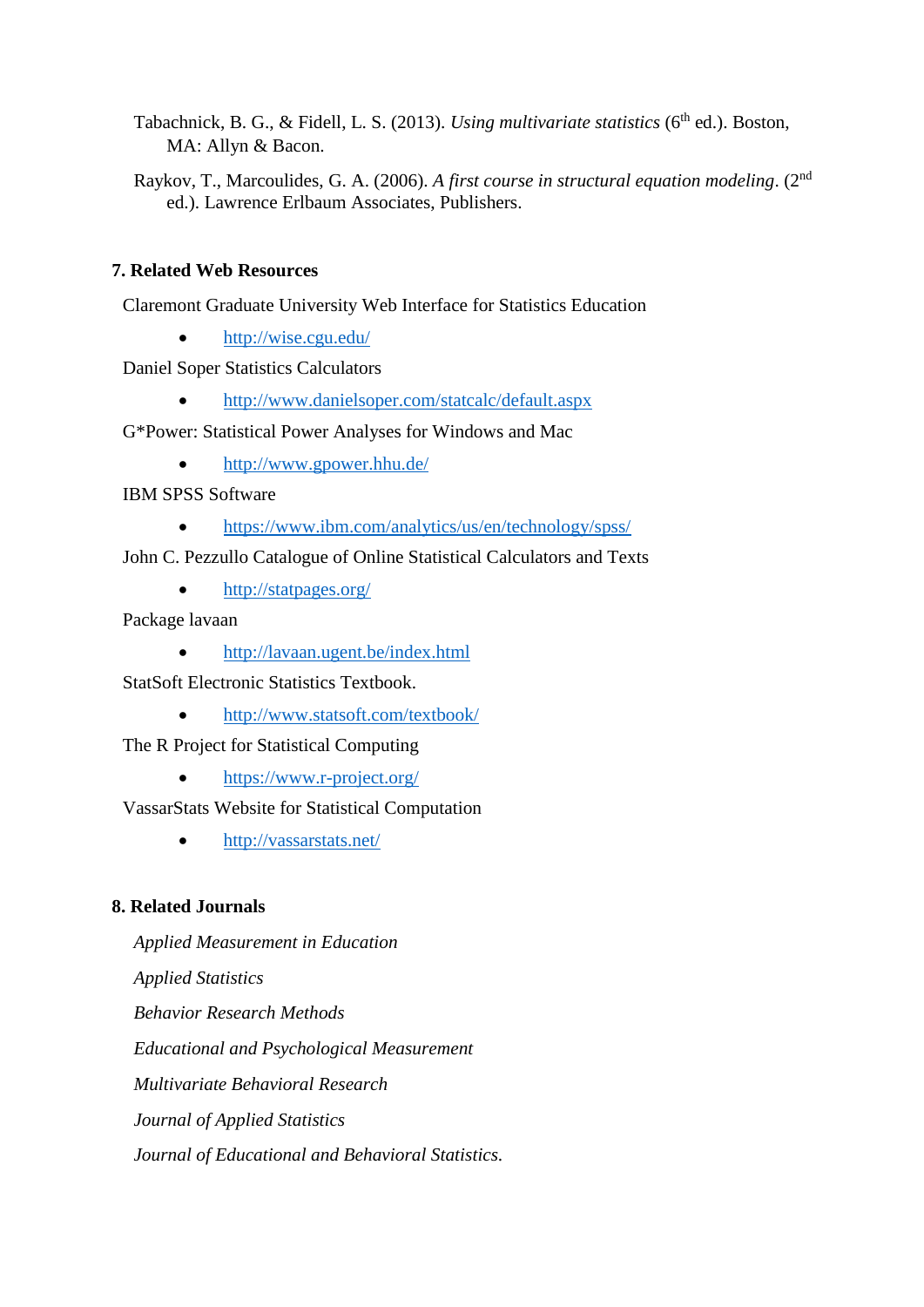Tabachnick, B. G., & Fidell, L. S. (2013). *Using multivariate statistics* (6<sup>th</sup> ed.). Boston, MA: Allyn & Bacon.

Raykov, T., Marcoulides, G. A. (2006). *A first course in structural equation modeling*. (2nd ed.). Lawrence Erlbaum Associates, Publishers.

# **7. Related Web Resources**

Claremont Graduate University Web Interface for Statistics Education

• <http://wise.cgu.edu/>

Daniel Soper Statistics Calculators

<http://www.danielsoper.com/statcalc/default.aspx>

G\*Power: Statistical Power Analyses for Windows and Mac

• <http://www.gpower.hhu.de/>

IBM SPSS Software

• <https://www.ibm.com/analytics/us/en/technology/spss/>

John C. Pezzullo Catalogue of Online Statistical Calculators and Texts

• <http://statpages.org/>

Package lavaan

• <http://lavaan.ugent.be/index.html>

StatSoft Electronic Statistics Textbook.

<http://www.statsoft.com/textbook/>

The R Project for Statistical Computing

• <https://www.r-project.org/>

VassarStats Website for Statistical Computation

<http://vassarstats.net/>

## **8. Related Journals**

*Applied Measurement in Education Applied Statistics Behavior Research Methods Educational and Psychological Measurement Multivariate Behavioral Research Journal of Applied Statistics Journal of Educational and Behavioral Statistics.*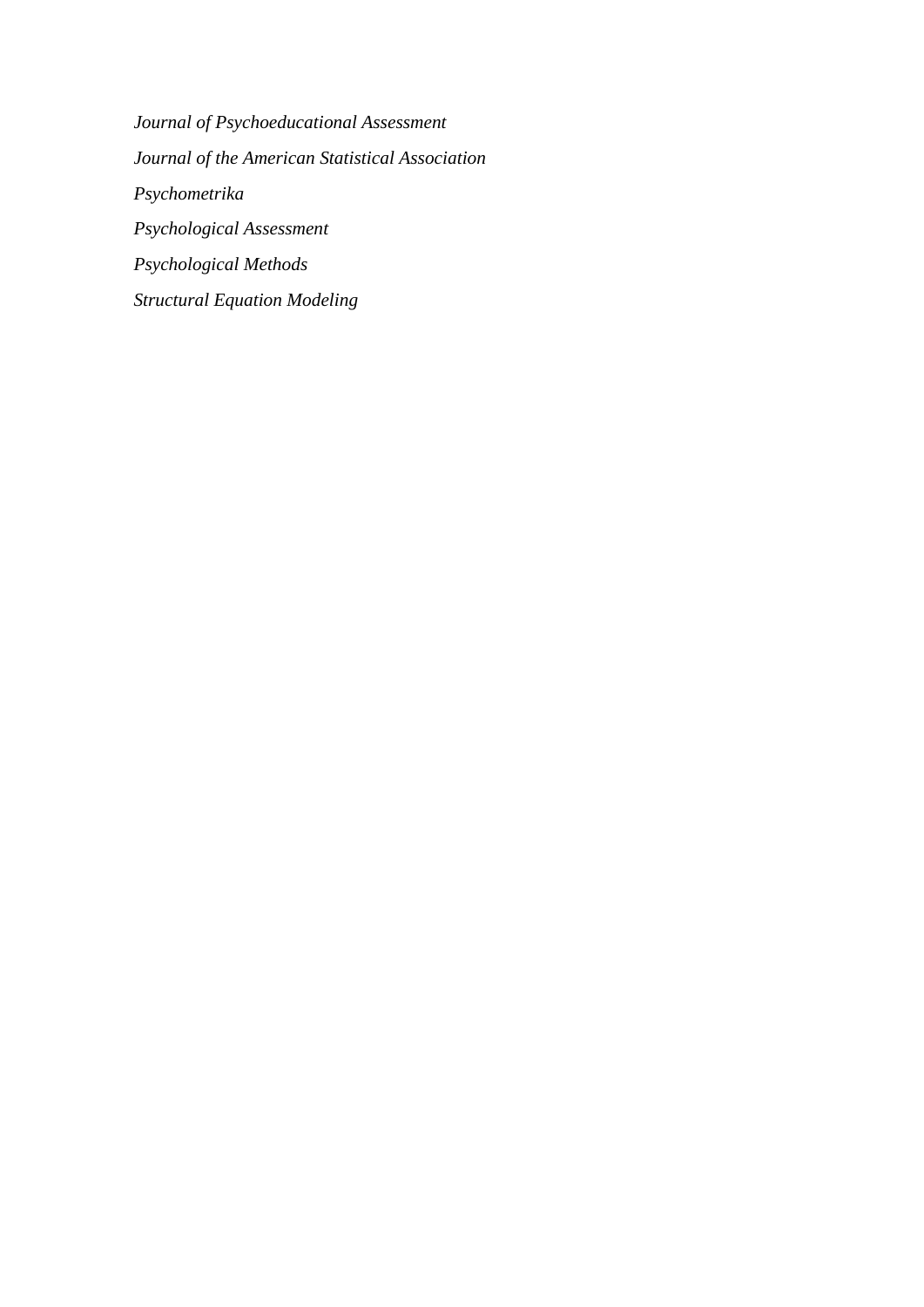*Journal of Psychoeducational Assessment Journal of the American Statistical Association Psychometrika Psychological Assessment Psychological Methods Structural Equation Modeling*